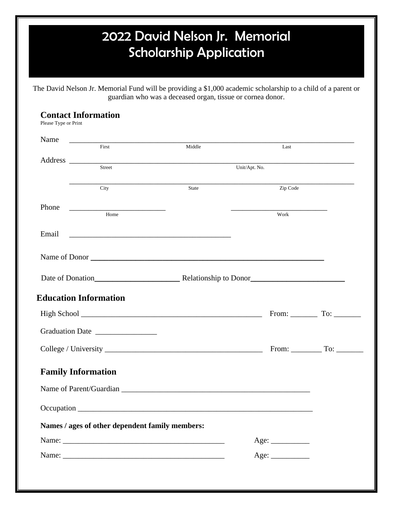## 2022 David Nelson Jr. Memorial Scholarship Application

The David Nelson Jr. Memorial Fund will be providing a \$1,000 academic scholarship to a child of a parent or guardian who was a deceased organ, tissue or cornea donor.

## **Contact Information**

Please Type or Print

| Name  |                                                 |                                                                                                                      |                       |                                                                                            |
|-------|-------------------------------------------------|----------------------------------------------------------------------------------------------------------------------|-----------------------|--------------------------------------------------------------------------------------------|
|       | First                                           | Middle                                                                                                               | Last                  |                                                                                            |
|       | Street                                          |                                                                                                                      | Unit/Apt. No.         |                                                                                            |
|       |                                                 |                                                                                                                      |                       |                                                                                            |
|       | City                                            | State                                                                                                                | $\overline{Zip Code}$ |                                                                                            |
| Phone | Home                                            |                                                                                                                      |                       |                                                                                            |
|       |                                                 |                                                                                                                      | Work                  |                                                                                            |
| Email |                                                 | <u> Alexandro de la contrada de la contrada de la contrada de la contrada de la contrada de la contrada de la co</u> |                       |                                                                                            |
|       |                                                 | Name of Donor                                                                                                        |                       |                                                                                            |
|       |                                                 |                                                                                                                      |                       |                                                                                            |
|       |                                                 |                                                                                                                      |                       |                                                                                            |
|       |                                                 |                                                                                                                      |                       |                                                                                            |
|       | <b>Education Information</b>                    |                                                                                                                      |                       |                                                                                            |
|       |                                                 |                                                                                                                      |                       | From: $\begin{array}{c} \begin{array}{c} \text{Toc} \\ \text{Soc} \end{array} \end{array}$ |
|       |                                                 |                                                                                                                      |                       |                                                                                            |
|       |                                                 |                                                                                                                      |                       |                                                                                            |
|       | <b>Family Information</b>                       |                                                                                                                      |                       |                                                                                            |
|       |                                                 |                                                                                                                      |                       |                                                                                            |
|       |                                                 |                                                                                                                      |                       |                                                                                            |
|       | Names / ages of other dependent family members: |                                                                                                                      |                       |                                                                                            |
|       |                                                 |                                                                                                                      | Age:                  |                                                                                            |